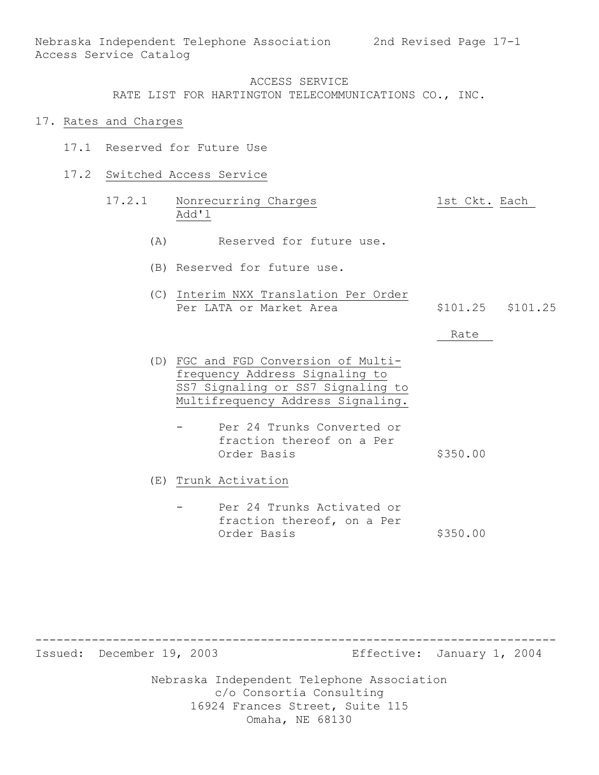#### ACCESS SERVICE

RATE LIST FOR HARTINGTON TELECOMMUNICATIONS CO., INC.

- 17. Rates and Charges
	- 17.1 Reserved for Future Use
	- 17.2 Switched Access Service
		- 17.2.1 Nonrecurring Charges 1st Ckt. Each Add'l
			- (A) Reserved for future use.
			- (B) Reserved for future use.
			- (C) Interim NXX Translation Per Order Per LATA or Market Area  $$101.25$  \$101.25

#### Rate

- (D) FGC and FGD Conversion of Multifrequency Address Signaling to SS7 Signaling or SS7 Signaling to Multifrequency Address Signaling.
	- Per 24 Trunks Converted or fraction thereof on a Per Order Basis \$350.00
- (E) Trunk Activation
	- Per 24 Trunks Activated or fraction thereof, on a Per Order Basis \$350.00

-------------------------------------------------------------------------- Issued: December 19, 2003 Effective: January 1, 2004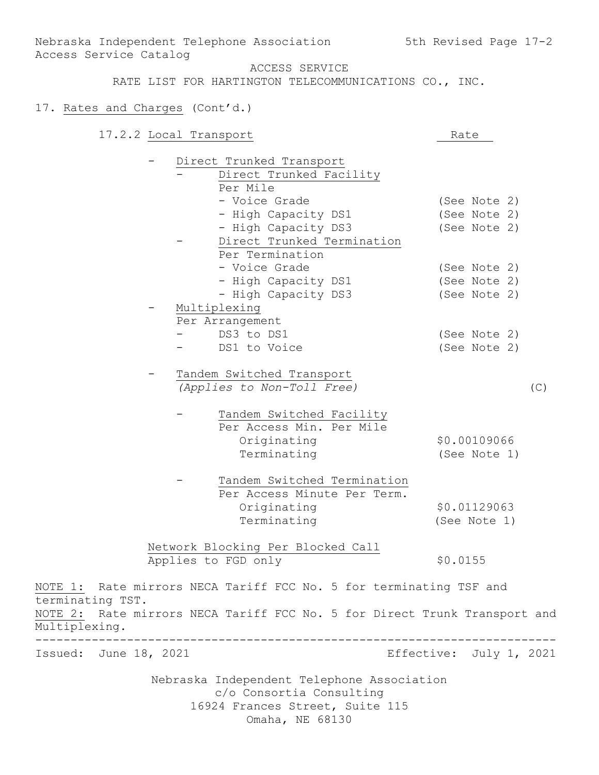# 17. Rates and Charges (Cont'd.)

Access Service Catalog

|                       | 17.2.2 Local Transport |                                                                           | Rate                    |
|-----------------------|------------------------|---------------------------------------------------------------------------|-------------------------|
|                       |                        | Direct Trunked Transport                                                  |                         |
|                       |                        | Direct Trunked Facility                                                   |                         |
|                       |                        | Per Mile                                                                  |                         |
|                       |                        | - Voice Grade                                                             | (See Note 2)            |
|                       |                        | - High Capacity DS1                                                       | (See Note 2)            |
|                       |                        | - High Capacity DS3                                                       | (See Note 2)            |
|                       |                        | Direct Trunked Termination<br>Per Termination                             |                         |
|                       |                        | - Voice Grade                                                             | (See Note 2)            |
|                       |                        | - High Capacity DS1                                                       | (See Note 2)            |
|                       |                        | - High Capacity DS3                                                       | (See Note 2)            |
|                       |                        | Multiplexing                                                              |                         |
|                       |                        | Per Arrangement                                                           |                         |
|                       |                        | DS3 to DS1                                                                | (See Note 2)            |
|                       |                        | DS1 to Voice                                                              | (See Note 2)            |
|                       |                        |                                                                           |                         |
|                       |                        | Tandem Switched Transport<br>(Applies to Non-Toll Free)                   | (C)                     |
|                       |                        |                                                                           |                         |
|                       |                        | Tandem Switched Facility                                                  |                         |
|                       |                        | Per Access Min. Per Mile                                                  |                         |
|                       |                        | Originating                                                               | \$0.00109066            |
|                       |                        | Terminating                                                               | (See Note 1)            |
|                       |                        | Tandem Switched Termination                                               |                         |
|                       |                        | Per Access Minute Per Term.                                               |                         |
|                       |                        | Originating                                                               | \$0.01129063            |
|                       |                        | Terminating                                                               | (See Note 1)            |
|                       |                        |                                                                           |                         |
|                       |                        | Network Blocking Per Blocked Call                                         |                         |
|                       |                        | Applies to FGD only                                                       | \$0.0155                |
| terminating TST.      |                        | NOTE 1: Rate mirrors NECA Tariff FCC No. 5 for terminating TSF and        |                         |
| Multiplexing.         |                        | NOTE 2: Rate mirrors NECA Tariff FCC No. 5 for Direct Trunk Transport and |                         |
| Issued: June 18, 2021 |                        |                                                                           | Effective: July 1, 2021 |
|                       |                        | Nebraska Independent Telephone Association                                |                         |
|                       |                        | c/o Consortia Consulting                                                  |                         |
|                       |                        | 16924 Frances Street, Suite 115                                           |                         |
|                       |                        | Omaha, NE 68130                                                           |                         |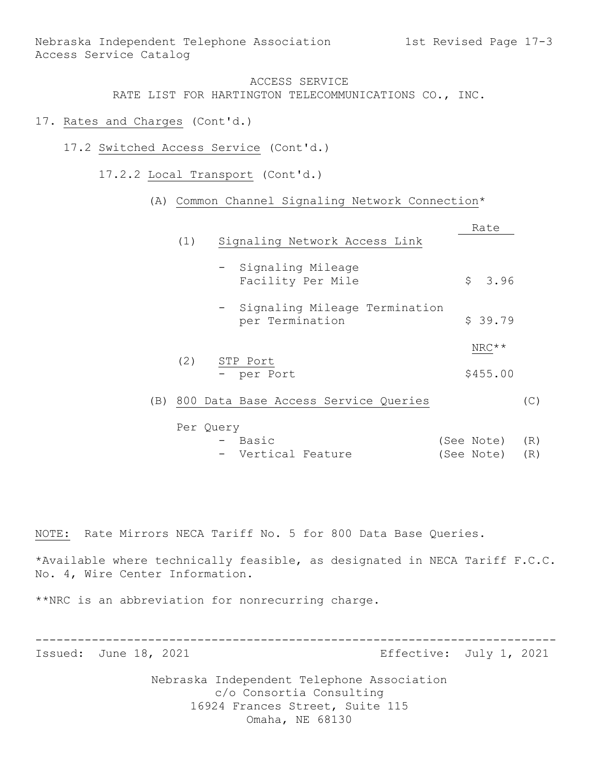- 17. Rates and Charges (Cont'd.)
	- 17.2 Switched Access Service (Cont'd.)
		- 17.2.2 Local Transport (Cont'd.)

#### (A) Common Channel Signaling Network Connection\*

|     |     |                                                    | Rate       |     |
|-----|-----|----------------------------------------------------|------------|-----|
|     | (1) | Signaling Network Access Link                      |            |     |
|     |     | - Signaling Mileage<br>Facility Per Mile           | \$3.96     |     |
|     |     | - Signaling Mileage Termination<br>per Termination | \$39.79    |     |
|     |     |                                                    | $NRC**$    |     |
|     | (2) | STP Port<br>- per Port                             | \$455.00   |     |
| (B) |     | 800 Data Base Access Service Queries               |            | (C) |
|     |     | Per Query                                          |            |     |
|     |     | Basic                                              | (See Note) | (R) |

| $\sim$ | Vertical Feature |  | (See Note) (R) |  |
|--------|------------------|--|----------------|--|

NOTE: Rate Mirrors NECA Tariff No. 5 for 800 Data Base Queries.

\*Available where technically feasible, as designated in NECA Tariff F.C.C. No. 4, Wire Center Information.

\*\*NRC is an abbreviation for nonrecurring charge.

-------------------------------------------------------------------------- Issued: June 18, 2021 **Example 2018** Effective: July 1, 2021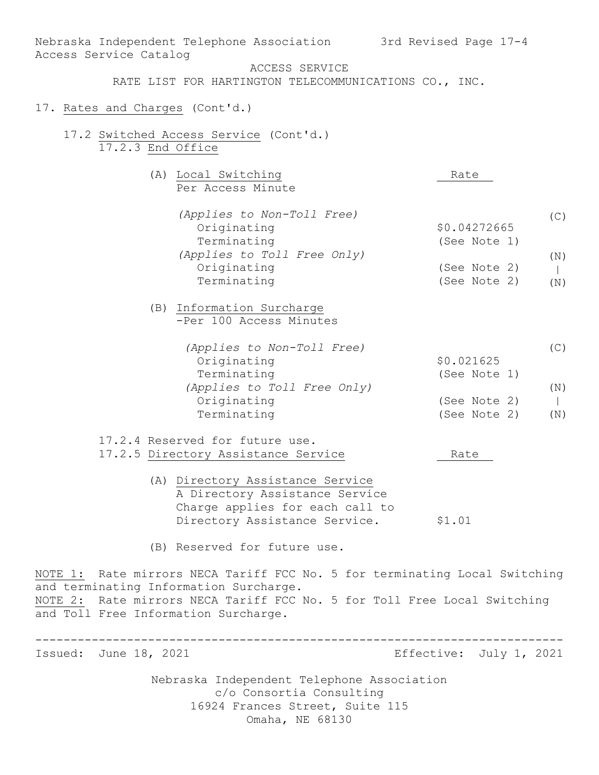|                        | Nebraska Independent Telephone Association                                 | 3rd Revised Page 17-4   |              |
|------------------------|----------------------------------------------------------------------------|-------------------------|--------------|
| Access Service Catalog | ACCESS SERVICE                                                             |                         |              |
|                        | RATE LIST FOR HARTINGTON TELECOMMUNICATIONS CO., INC.                      |                         |              |
|                        | 17. Rates and Charges (Cont'd.)                                            |                         |              |
|                        |                                                                            |                         |              |
|                        | 17.2 Switched Access Service (Cont'd.)                                     |                         |              |
| 17.2.3 End Office      |                                                                            |                         |              |
|                        | (A) Local Switching                                                        | Rate                    |              |
|                        | Per Access Minute                                                          |                         |              |
|                        | (Applies to Non-Toll Free)                                                 |                         | (C)          |
|                        | Originating                                                                | \$0.04272665            |              |
|                        | Terminating                                                                | (See Note 1)            |              |
|                        | (Applies to Toll Free Only)                                                |                         | (N)          |
|                        | Originating                                                                | (See Note 2)            | $\mathbb{R}$ |
|                        | Terminating                                                                | (See Note 2)            | (N)          |
|                        | (B) Information Surcharge                                                  |                         |              |
|                        | -Per 100 Access Minutes                                                    |                         |              |
|                        | (Applies to Non-Toll Free)                                                 |                         | (C)          |
|                        | Originating                                                                | \$0.021625              |              |
|                        | Terminating                                                                | (See Note 1)            |              |
|                        | (Applies to Toll Free Only)                                                |                         | (N)          |
|                        | Originating                                                                | (See Note 2)            | $\mathbf{L}$ |
|                        | Terminating                                                                | (See Note 2)            | (N)          |
|                        | 17.2.4 Reserved for future use.                                            |                         |              |
|                        | 17.2.5 Directory Assistance Service                                        | Rate                    |              |
|                        | (A) Directory Assistance Service                                           |                         |              |
|                        | A Directory Assistance Service                                             |                         |              |
|                        | Charge applies for each call to                                            |                         |              |
|                        | Directory Assistance Service.                                              | \$1.01                  |              |
|                        | (B) Reserved for future use.                                               |                         |              |
|                        | NOTE 1: Rate mirrors NECA Tariff FCC No. 5 for terminating Local Switching |                         |              |
|                        | and terminating Information Surcharge.                                     |                         |              |
|                        | NOTE 2: Rate mirrors NECA Tariff FCC No. 5 for Toll Free Local Switching   |                         |              |
|                        | and Toll Free Information Surcharge.                                       |                         |              |
|                        |                                                                            |                         |              |
| Issued: June 18, 2021  |                                                                            | Effective: July 1, 2021 |              |
|                        | Nebraska Independent Telephone Association                                 |                         |              |
|                        | c/o Consortia Consulting                                                   |                         |              |
|                        | 16924 Frances Street, Suite 115                                            |                         |              |
|                        | Omaha, NE 68130                                                            |                         |              |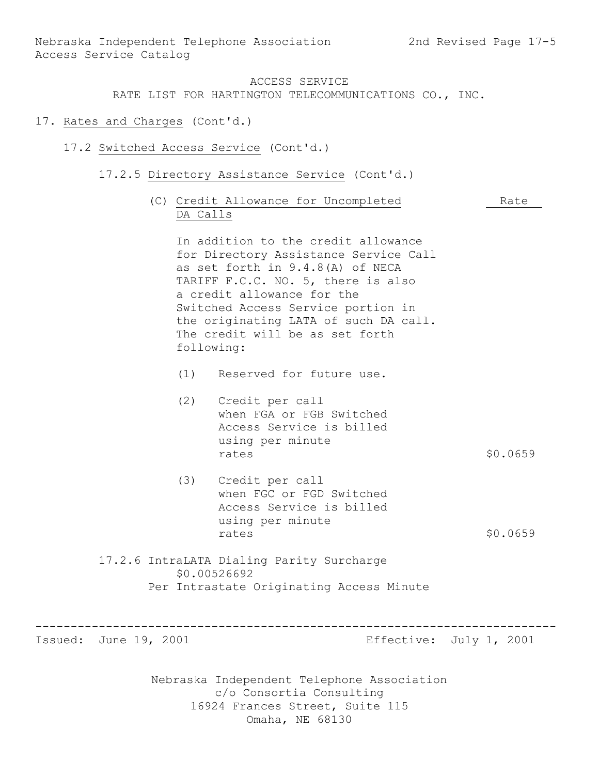#### ACCESS SERVICE

RATE LIST FOR HARTINGTON TELECOMMUNICATIONS CO., INC.

- 17. Rates and Charges (Cont'd.)
	- 17.2 Switched Access Service (Cont'd.)
		- 17.2.5 Directory Assistance Service (Cont'd.)
			- (C) Credit Allowance for Uncompleted Rate DA Calls

In addition to the credit allowance for Directory Assistance Service Call as set forth in 9.4.8(A) of NECA TARIFF F.C.C. NO. 5, there is also a credit allowance for the Switched Access Service portion in the originating LATA of such DA call. The credit will be as set forth following:

- (1) Reserved for future use.
- (2) Credit per call when FGA or FGB Switched Access Service is billed using per minute rates  $$0.0659$
- (3) Credit per call when FGC or FGD Switched Access Service is billed using per minute rates \$0.0659
- 17.2.6 IntraLATA Dialing Parity Surcharge \$0.00526692 Per Intrastate Originating Access Minute

Issued: June 19, 2001 **Example 2018** Effective: July 1, 2001

Nebraska Independent Telephone Association c/o Consortia Consulting 16924 Frances Street, Suite 115 Omaha, NE 68130

--------------------------------------------------------------------------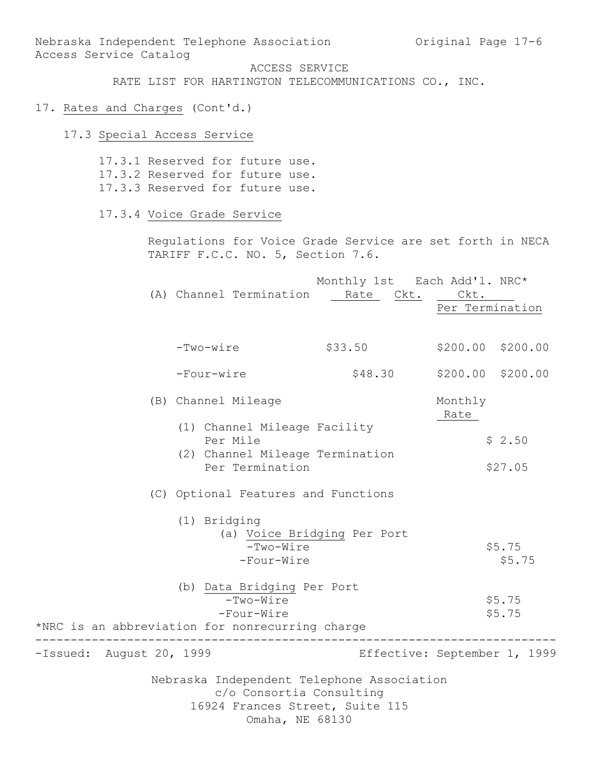Nebraska Independent Telephone Association (Original Page 17-6) Access Service Catalog

ACCESS SERVICE

RATE LIST FOR HARTINGTON TELECOMMUNICATIONS CO., INC.

# 17. Rates and Charges (Cont'd.)

## 17.3 Special Access Service

17.3.1 Reserved for future use. 17.3.2 Reserved for future use. 17.3.3 Reserved for future use.

17.3.4 Voice Grade Service

Regulations for Voice Grade Service are set forth in NECA TARIFF F.C.C. NO. 5, Section 7.6.

|                          |                                                                                                                              | Monthly 1st Each Add'1. NRC* |                         |                   |
|--------------------------|------------------------------------------------------------------------------------------------------------------------------|------------------------------|-------------------------|-------------------|
|                          | (A) Channel Termination Rate Ckt.                                                                                            |                              | Ckt.<br>Per Termination |                   |
|                          | -Two-wire                                                                                                                    | \$33.50                      |                         | \$200.00 \$200.00 |
|                          | -Four-wire                                                                                                                   | \$48.30                      | \$200.00 \$200.00       |                   |
|                          | (B) Channel Mileage                                                                                                          |                              | Monthly<br>Rate         |                   |
|                          | (1) Channel Mileage Facility<br>Per Mile                                                                                     |                              |                         | \$2.50            |
|                          | (2) Channel Mileage Termination<br>Per Termination                                                                           |                              |                         | \$27.05           |
|                          | (C) Optional Features and Functions                                                                                          |                              |                         |                   |
|                          | (1) Bridging<br>$-Two-Wire$<br>-Four-Wire                                                                                    | (a) Voice Bridging Per Port  |                         | \$5.75<br>\$5.75  |
|                          | (b) Data Bridging Per Port<br>$-Two-Wire$<br>-Four-Wire<br>*NRC is an abbreviation for nonrecurring charge                   |                              |                         | \$5.75<br>\$5.75  |
| -Issued: August 20, 1999 |                                                                                                                              | Effective: September 1, 1999 |                         |                   |
|                          | Nebraska Independent Telephone Association<br>c/o Consortia Consulting<br>16924 Frances Street, Suite 115<br>Omaha, NE 68130 |                              |                         |                   |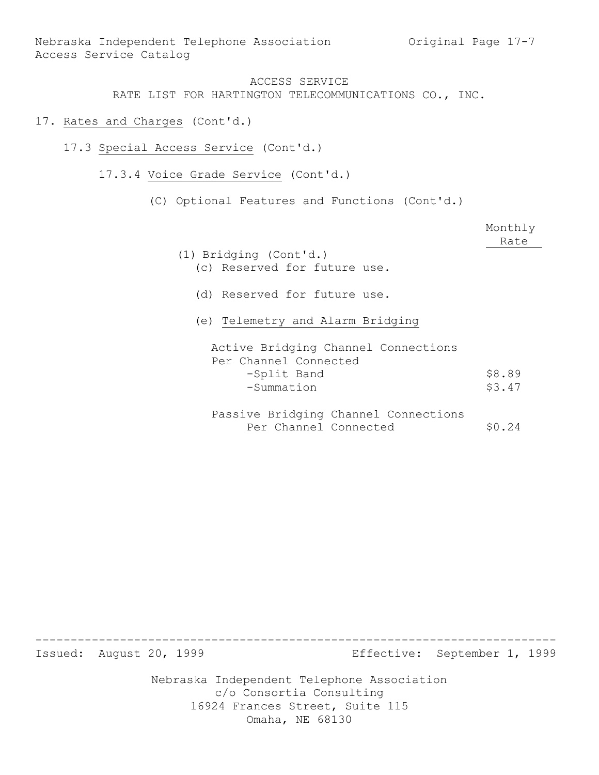- 17. Rates and Charges (Cont'd.)
	- 17.3 Special Access Service (Cont'd.)
		- 17.3.4 Voice Grade Service (Cont'd.)
			- (C) Optional Features and Functions (Cont'd.)

|                                      | Monthly<br>Rate |
|--------------------------------------|-----------------|
| (1) Bridging (Cont'd.)               |                 |
| (c) Reserved for future use.         |                 |
| (d) Reserved for future use.         |                 |
| (e) Telemetry and Alarm Bridging     |                 |
| Active Bridging Channel Connections  |                 |
| Per Channel Connected                |                 |
| -Split Band                          | \$8.89          |
| -Summation                           | \$3.47          |
| Passive Bridging Channel Connections |                 |
| Per Channel Connected                | $S_0.24$        |

-------------------------------------------------------------------------- Issued: August 20, 1999 Effective: September 1, 1999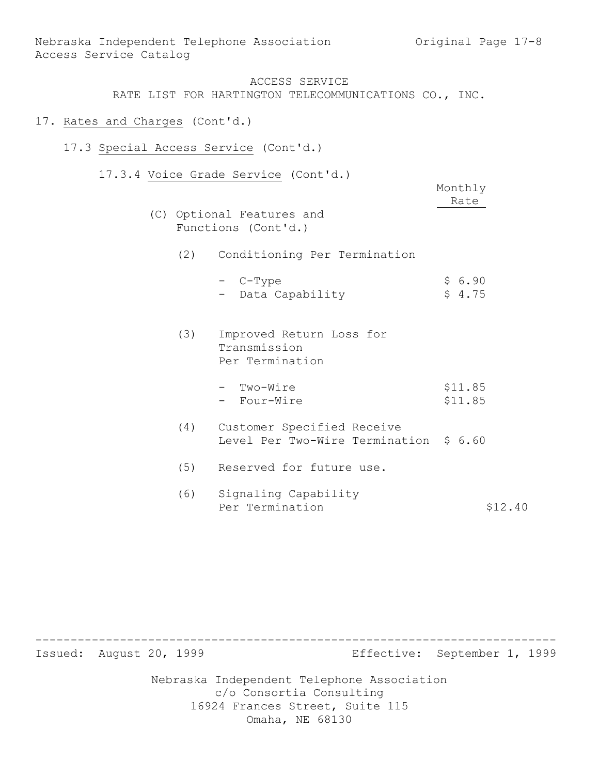- 17. Rates and Charges (Cont'd.) 17.3 Special Access Service (Cont'd.) 17.3.4 Voice Grade Service (Cont'd.) Monthly Rate (C) Optional Features and Functions (Cont'd.) (2) Conditioning Per Termination  $-$  C-Type  $\frac{1}{5}$  6.90 - Data Capability \$ 4.75 (3) Improved Return Loss for Transmission Per Termination
	- Two-Wire \$11.85 - Four-Wire \$11.85
	- (4) Customer Specified Receive Level Per Two-Wire Termination \$ 6.60
	- (5) Reserved for future use.
	- (6) Signaling Capability Per Termination  $$12.40$

Nebraska Independent Telephone Association -------------------------------------------------------------------------- Issued: August 20, 1999 Effective: September 1, 1999

c/o Consortia Consulting 16924 Frances Street, Suite 115 Omaha, NE 68130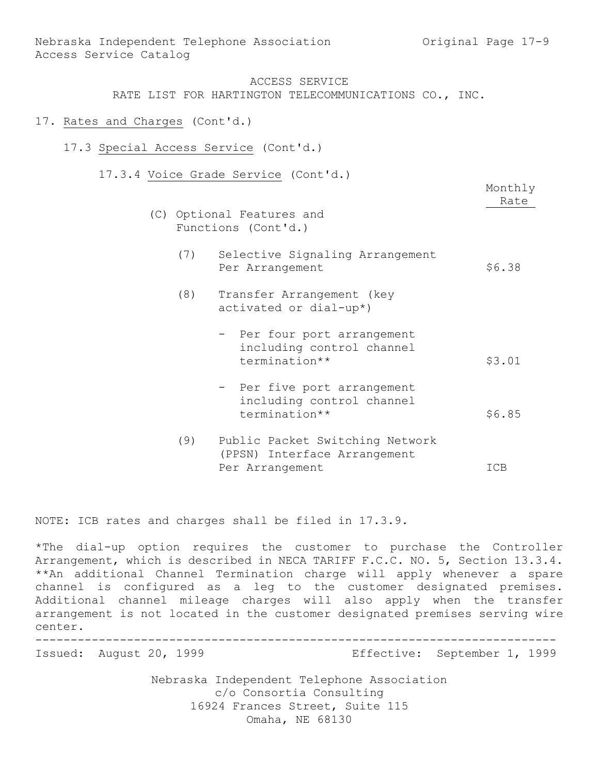- 17. Rates and Charges (Cont'd.)
	- 17.3 Special Access Service (Cont'd.)
		- 17.3.4 Voice Grade Service (Cont'd.)

(C) Optional Features and Functions (Cont'd.)

Monthly Rate

- (7) Selective Signaling Arrangement Per Arrangement \$6.38
- (8) Transfer Arrangement (key activated or dial-up\*)
	- Per four port arrangement including control channel termination\*\* \$3.01
	- Per five port arrangement including control channel termination\*\* \$6.85
- (9) Public Packet Switching Network (PPSN) Interface Arrangement Per Arrangement ICB

NOTE: ICB rates and charges shall be filed in 17.3.9.

\*The dial-up option requires the customer to purchase the Controller Arrangement, which is described in NECA TARIFF F.C.C. NO. 5, Section 13.3.4. \*\*An additional Channel Termination charge will apply whenever a spare channel is configured as a leg to the customer designated premises. Additional channel mileage charges will also apply when the transfer arrangement is not located in the customer designated premises serving wire center.

--------------------------------------------------------------------------

Issued: August 20, 1999 Effective: September 1, 1999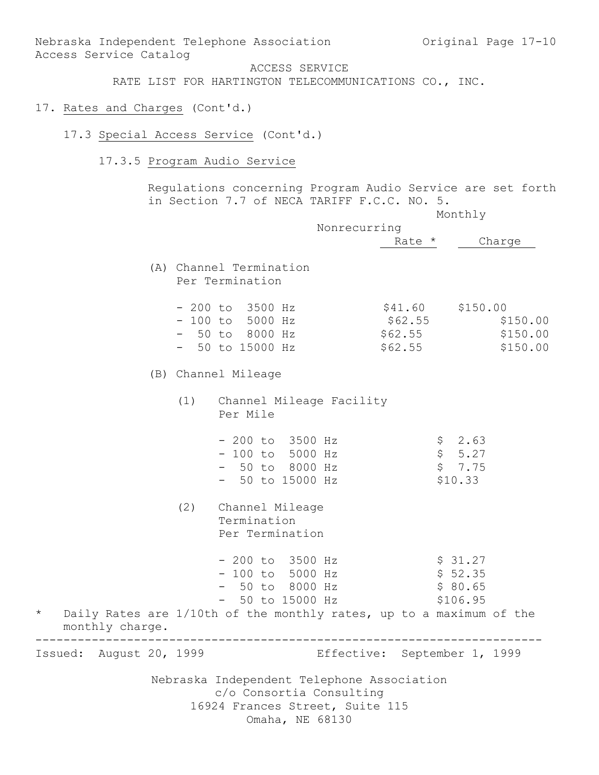Nebraska Independent Telephone Association c/o Consortia Consulting 16924 Frances Street, Suite 115 RATE LIST FOR HARTINGTON TELECOMMUNICATIONS CO., INC. 17. Rates and Charges (Cont'd.) 17.3 Special Access Service (Cont'd.) 17.3.5 Program Audio Service Regulations concerning Program Audio Service are set forth in Section 7.7 of NECA TARIFF F.C.C. NO. 5. Monthly Nonrecurring Rate \* Charge (A) Channel Termination Per Termination - 200 to 3500 Hz \$41.60 \$150.00 - 100 to 5000 Hz \$62.55 \$150.00 - 50 to 8000 Hz \$62.55 \$150.00 - 50 to 15000 Hz \$62.55 \$150.00 (B) Channel Mileage (1) Channel Mileage Facility Per Mile  $-200$  to 3500 Hz  $\frac{1}{2}$  \$ 2.63  $- 100$  to 5000 Hz  $$5.27$ - 50 to 8000 Hz \$ 7.75  $-$  50 to 15000 Hz  $$10.33$ (2) Channel Mileage Termination Per Termination - 200 to 3500 Hz<br>- 100 to 5000 Hz \$ 52.35  $- 100$  to  $5000$  Hz - 50 to 8000 Hz \$ 80.65 - 50 to 15000 Hz \$106.95 \* Daily Rates are 1/10th of the monthly rates, up to a maximum of the monthly charge. ------------------------------------------------------------------------ Issued: August 20, 1999 Effective: September 1, 1999

Nebraska Independent Telephone Association and Original Page 17-10

ACCESS SERVICE

Access Service Catalog

Omaha, NE 68130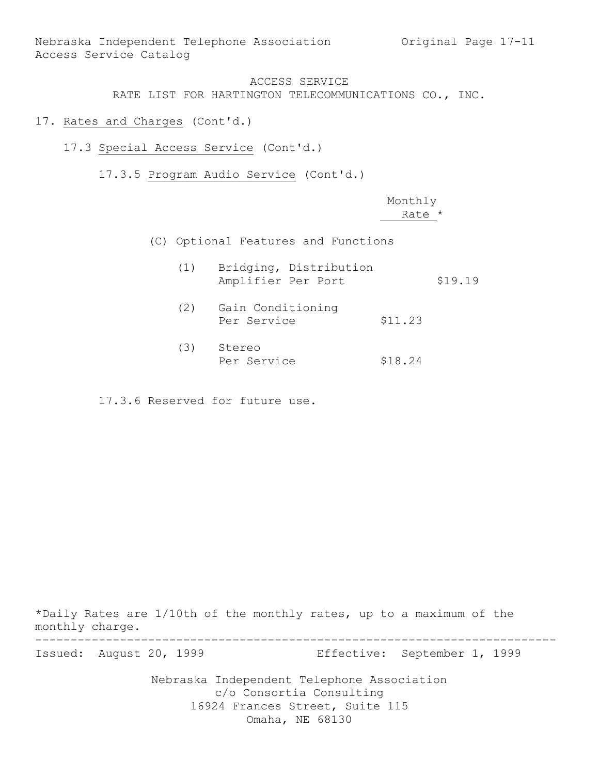Nebraska Independent Telephone Association Original Page 17-11 Access Service Catalog

### ACCESS SERVICE RATE LIST FOR HARTINGTON TELECOMMUNICATIONS CO., INC.

- 17. Rates and Charges (Cont'd.)
	- 17.3 Special Access Service (Cont'd.)

17.3.5 Program Audio Service (Cont'd.)

|  |     |                                              | Monthly |         |
|--|-----|----------------------------------------------|---------|---------|
|  |     |                                              | Rate *  |         |
|  |     | (C) Optional Features and Functions          |         |         |
|  | (1) | Bridging, Distribution<br>Amplifier Per Port |         | \$19.19 |
|  | (2) | Gain Conditioning<br>Per Service             | \$11.23 |         |
|  | (3) | Stereo<br>Per Service                        | \$18.24 |         |

17.3.6 Reserved for future use.

\*Daily Rates are 1/10th of the monthly rates, up to a maximum of the monthly charge.

-------------------------------------------------------------------------- Issued: August 20, 1999 Effective: September 1, 1999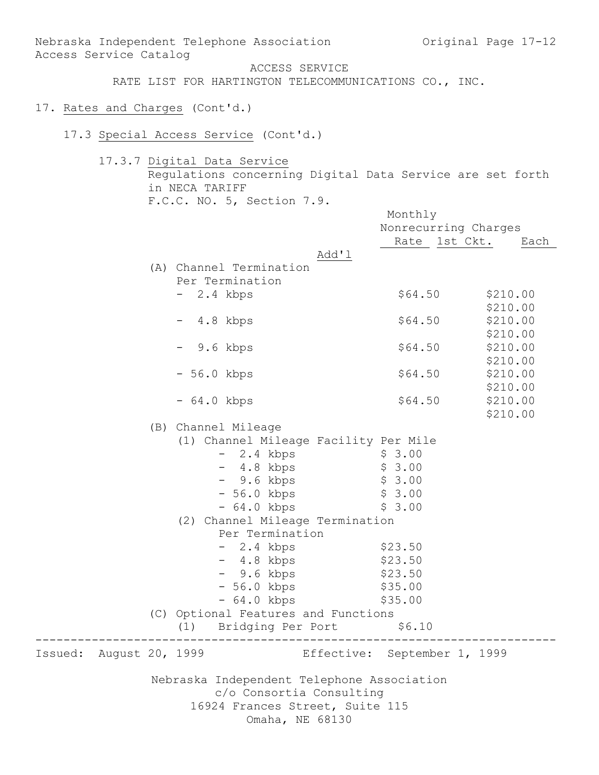Access Service Catalog ACCESS SERVICE RATE LIST FOR HARTINGTON TELECOMMUNICATIONS CO., INC. 17. Rates and Charges (Cont'd.) 17.3 Special Access Service (Cont'd.) 17.3.7 Digital Data Service Regulations concerning Digital Data Service are set forth in NECA TARIFF F.C.C. NO. 5, Section 7.9. Monthly Nonrecurring Charges Rate 1st Ckt. Each Add'l (A) Channel Termination Per Termination - 2.4 kbps \$64.50 \$210.00 \$210.00 - 4.8 kbps \$64.50 \$210.00 \$210.00 - 9.6 kbps \$64.50 \$210.00 \$210.00 - 56.0 kbps \$64.50 \$210.00 \$210.00 - 64.0 kbps \$64.50 \$210.00 \$210.00 (B) Channel Mileage (1) Channel Mileage Facility Per Mile - 2.4 kbps \$ 3.00 - 4.8 kbps \$ 3.00 - 9.6 kbps \$ 3.00 - 56.0 kbps \$ 3.00 - 56.0 kbps<br>- 64.0 kbps \$ 3.00 (2) Channel Mileage Termination Per Termination - 2.4 kbps \$23.50 - 4.8 kbps \$23.50 - 9.6 kbps \$23.50

Nebraska Independent Telephone Association and Original Page 17-12

Nebraska Independent Telephone Association c/o Consortia Consulting 16924 Frances Street, Suite 115 Omaha, NE 68130

(C) Optional Features and Functions (1) Bridging Per Port \$6.10 --------------------------------------------------------------------------

Issued: August 20, 1999 Effective: September 1, 1999

- 56.0 kbps \$35.00 - 64.0 kbps \$35.00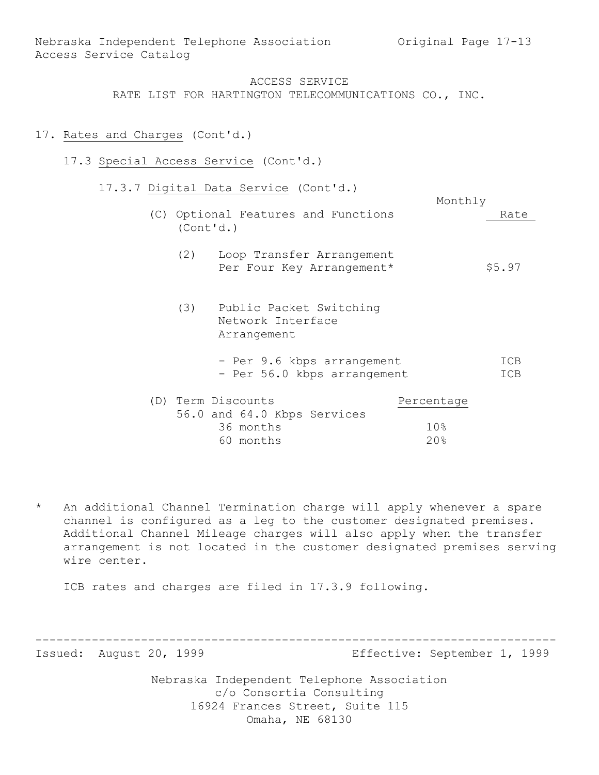### 17. Rates and Charges (Cont'd.)

- 17.3 Special Access Service (Cont'd.)
	- 17.3.7 Digital Data Service (Cont'd.)
		- Monthly (C) Optional Features and Functions Rate (Cont'd.) (2) Loop Transfer Arrangement Per Four Key Arrangement\* \$5.97 (3) Public Packet Switching Network Interface Arrangement
			- Per 9.6 kbps arrangement ICB - Per 56.0 kbps arrangement ICB

| (D) Term Discounts |           |                             | Percentage |
|--------------------|-----------|-----------------------------|------------|
|                    |           | 56.0 and 64.0 Kbps Services |            |
|                    | 36 months |                             | 10.8       |
|                    | 60 months |                             | 20%        |

An additional Channel Termination charge will apply whenever a spare channel is configured as a leg to the customer designated premises. Additional Channel Mileage charges will also apply when the transfer arrangement is not located in the customer designated premises serving wire center.

ICB rates and charges are filed in 17.3.9 following.

-------------------------------------------------------------------------- Issued: August 20, 1999 Effective: September 1, 1999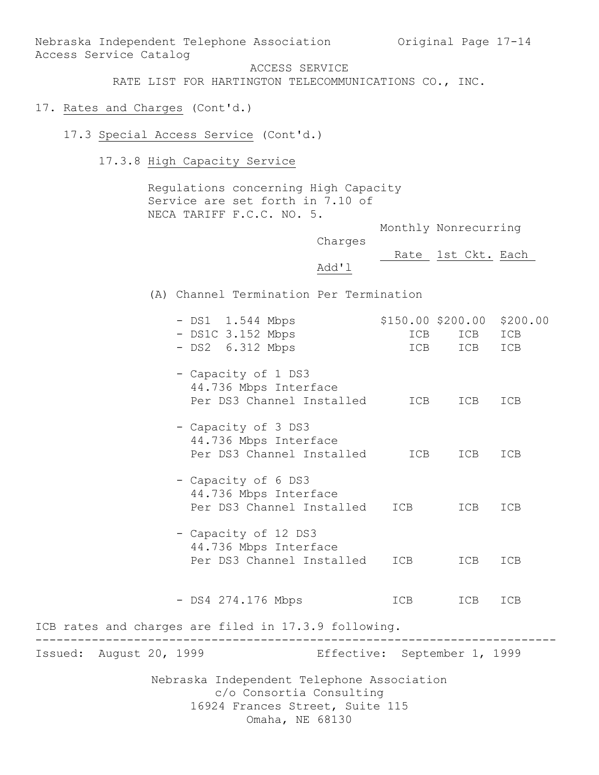Nebraska Independent Telephone Association Original Page 17-14 Access Service Catalog

ACCESS SERVICE

RATE LIST FOR HARTINGTON TELECOMMUNICATIONS CO., INC.

# 17. Rates and Charges (Cont'd.)

17.3 Special Access Service (Cont'd.)

17.3.8 High Capacity Service

Regulations concerning High Capacity Service are set forth in 7.10 of NECA TARIFF F.C.C. NO. 5.

Monthly Nonrecurring

Charges

Rate 1st Ckt. Each

Add'l

(A) Channel Termination Per Termination

| $-$ DS1C 3.152 Mbps<br>$-$ DS2 $6.312$ Mbps                                                                                  | ICB | ICB ICB<br>ICB ICB ICB |     |
|------------------------------------------------------------------------------------------------------------------------------|-----|------------------------|-----|
| - Capacity of 1 DS3<br>44.736 Mbps Interface<br>Per DS3 Channel Installed                                                    | ICB | ICB                    | ICB |
| - Capacity of 3 DS3<br>44.736 Mbps Interface<br>Per DS3 Channel Installed                                                    | ICB | ICB                    | ICB |
| - Capacity of 6 DS3<br>44.736 Mbps Interface<br>Per DS3 Channel Installed                                                    |     | ICB ICB                | ICB |
| - Capacity of 12 DS3<br>44.736 Mbps Interface<br>Per DS3 Channel Installed                                                   |     | ICB ICB                | ICB |
| - DS4 274.176 Mbps                                                                                                           |     | ICB ICB                | ICB |
| ICB rates and charges are filed in 17.3.9 following.                                                                         |     |                        |     |
| Effective: September 1, 1999<br>Issued: August 20, 1999                                                                      |     |                        |     |
| Nebraska Independent Telephone Association<br>c/o Consortia Consulting<br>16924 Frances Street, Suite 115<br>Omaha, NE 68130 |     |                        |     |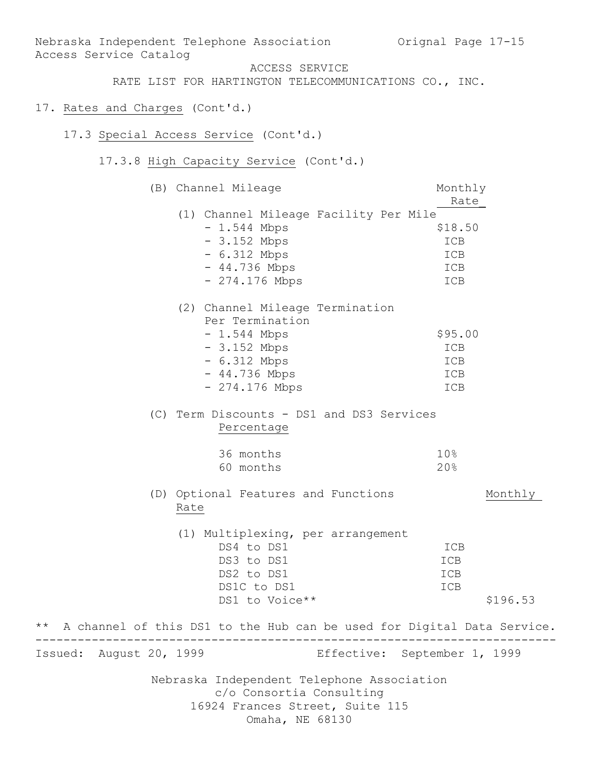Nebraska Independent Telephone Association c/o Consortia Consulting 16924 Frances Street, Suite 115 Omaha, NE 68130 Nebraska Independent Telephone Association Orignal Page 17-15 Access Service Catalog ACCESS SERVICE RATE LIST FOR HARTINGTON TELECOMMUNICATIONS CO., INC. 17. Rates and Charges (Cont'd.) 17.3 Special Access Service (Cont'd.) 17.3.8 High Capacity Service (Cont'd.) (B) Channel Mileage Monthly Rate\_ (1) Channel Mileage Facility Per Mile  $- 1.544$  Mbps  $$18.50$  - 3.152 Mbps ICB - 6.312 Mbps ICB - 44.736 Mbps ICB - 274.176 Mbps ICB (2) Channel Mileage Termination Per Termination - 1.544 Mbps \$95.00 - 3.152 Mbps ICB - 6.312 Mbps ICB - 44.736 Mbps ICB - 274.176 Mbps ICB (C) Term Discounts - DS1 and DS3 Services Percentage 36 months 10% 60 months 20% (D) Optional Features and Functions Monthly Rate (1) Multiplexing, per arrangement DS4 to DS1 ICB DS3 to DS1 ICB DS2 to DS1 ICB DS1C to DS1 ICB DS1 to Voice\*\* \$196.53 \*\* A channel of this DS1 to the Hub can be used for Digital Data Service. -------------------------------------------------------------------------- Issued: August 20, 1999 Effective: September 1, 1999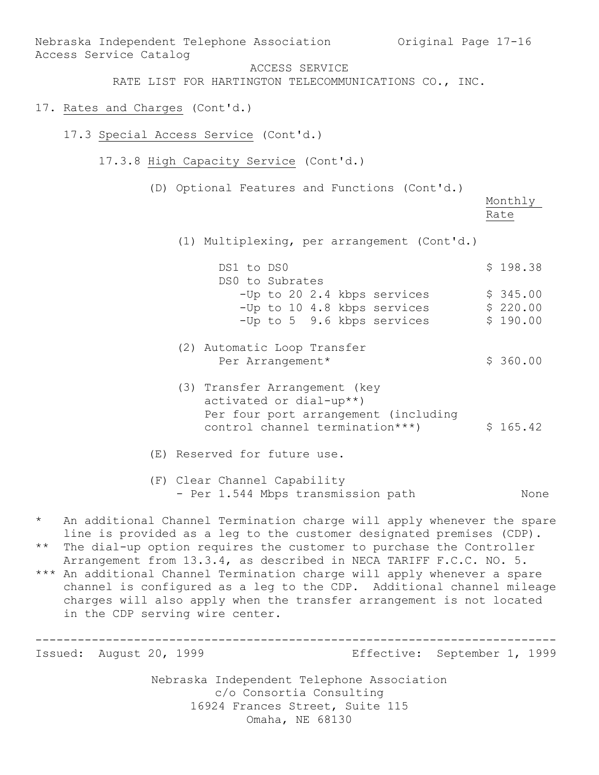Nebraska Independent Telephone Association c/o Consortia Consulting 16924 Frances Street, Suite 115 Nebraska Independent Telephone Association Original Page 17-16 Access Service Catalog ACCESS SERVICE RATE LIST FOR HARTINGTON TELECOMMUNICATIONS CO., INC. 17. Rates and Charges (Cont'd.) 17.3 Special Access Service (Cont'd.) 17.3.8 High Capacity Service (Cont'd.) (D) Optional Features and Functions (Cont'd.) Monthly Rate (1) Multiplexing, per arrangement (Cont'd.) DS1 to DS0 \$ 198.38 DS0 to Subrates  $-Up$  to 20 2.4 kbps services  $$345.00$  $-Up$  to 10 4.8 kbps services  $\qquad \qquad$  \$ 220.00  $-Up$  to 5 9.6 kbps services  $\frac{1}{5}$  190.00 (2) Automatic Loop Transfer Per Arrangement\* \$ 360.00 (3) Transfer Arrangement (key activated or dial-up\*\*) Per four port arrangement (including control channel termination\*\*\*)  $$ 165.42$ (E) Reserved for future use. (F) Clear Channel Capability - Per 1.544 Mbps transmission path Mone \* An additional Channel Termination charge will apply whenever the spare line is provided as a leg to the customer designated premises (CDP). \*\* The dial-up option requires the customer to purchase the Controller Arrangement from 13.3.4, as described in NECA TARIFF F.C.C. NO. 5. \*\*\* An additional Channel Termination charge will apply whenever a spare channel is configured as a leg to the CDP. Additional channel mileage charges will also apply when the transfer arrangement is not located in the CDP serving wire center. -------------------------------------------------------------------------- Issued: August 20, 1999 Effective: September 1, 1999

Omaha, NE 68130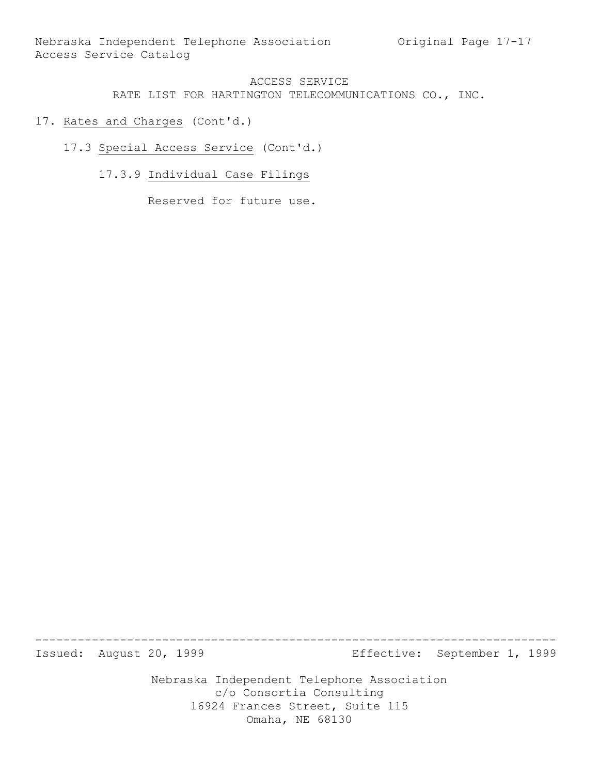- 17. Rates and Charges (Cont'd.)
	- 17.3 Special Access Service (Cont'd.)
		- 17.3.9 Individual Case Filings

Reserved for future use.

-------------------------------------------------------------------------- Issued: August 20, 1999 Effective: September 1, 1999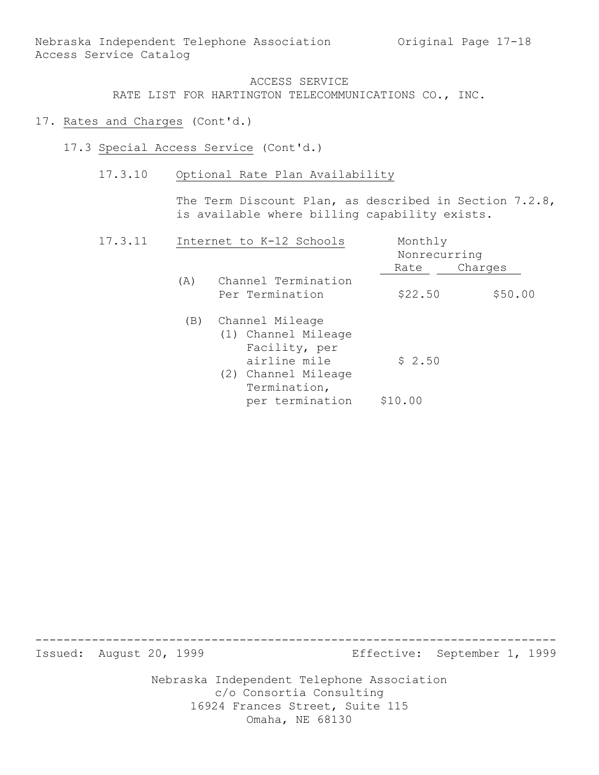- 17. Rates and Charges (Cont'd.)
	- 17.3 Special Access Service (Cont'd.)
		- 17.3.10 Optional Rate Plan Availability

The Term Discount Plan, as described in Section 7.2.8, is available where billing capability exists.

| 17.3.11 |     | Internet to K-12 Schools                                | Monthly | Nonrecurring |  |  |
|---------|-----|---------------------------------------------------------|---------|--------------|--|--|
|         |     |                                                         | Rate    | Charges      |  |  |
|         | (A) | Channel Termination                                     |         |              |  |  |
|         |     | Per Termination                                         | \$22.50 | \$50.00      |  |  |
|         | (B) | Channel Mileage<br>(1) Channel Mileage<br>Facility, per |         |              |  |  |
|         |     | airline mile<br>(2) Channel Mileage<br>Termination,     | \$2.50  |              |  |  |
|         |     | per termination                                         | \$10.00 |              |  |  |

-------------------------------------------------------------------------- Issued: August 20, 1999 Effective: September 1, 1999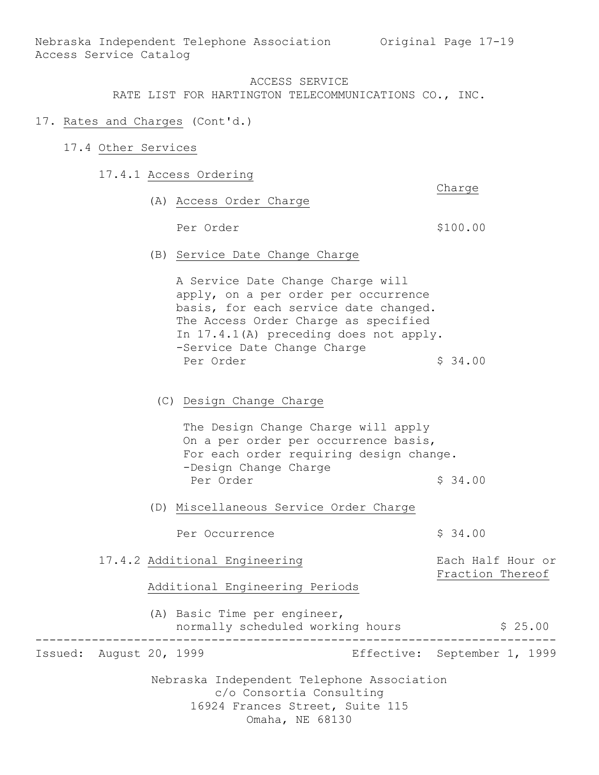#### ACCESS SERVICE

RATE LIST FOR HARTINGTON TELECOMMUNICATIONS CO., INC.

- 17. Rates and Charges (Cont'd.)
	- 17.4 Other Services
		- 17.4.1 Access Ordering
			- (A) Access Order Charge

Per Order  $$100.00$ 

Charge

(B) Service Date Change Charge

A Service Date Change Charge will apply, on a per order per occurrence basis, for each service date changed. The Access Order Charge as specified In 17.4.1(A) preceding does not apply. -Service Date Change Charge Per Order  $\frac{1}{2}$  34.00

(C) Design Change Charge

The Design Change Charge will apply On a per order per occurrence basis, For each order requiring design change. -Design Change Charge Per Order  $\sim$  \$ 34.00

(D) Miscellaneous Service Order Charge

Per Occurrence  $\frac{1}{2}$  \$ 34.00

Nebraska Independent Telephone Association 17.4.2 Additional Engineering Fach Half Hour or Fraction Thereof Additional Engineering Periods (A) Basic Time per engineer, normally scheduled working hours \$ 25.00 -------------------------------------------------------------------------- Issued: August 20, 1999 Effective: September 1, 1999

c/o Consortia Consulting

16924 Frances Street, Suite 115

Omaha, NE 68130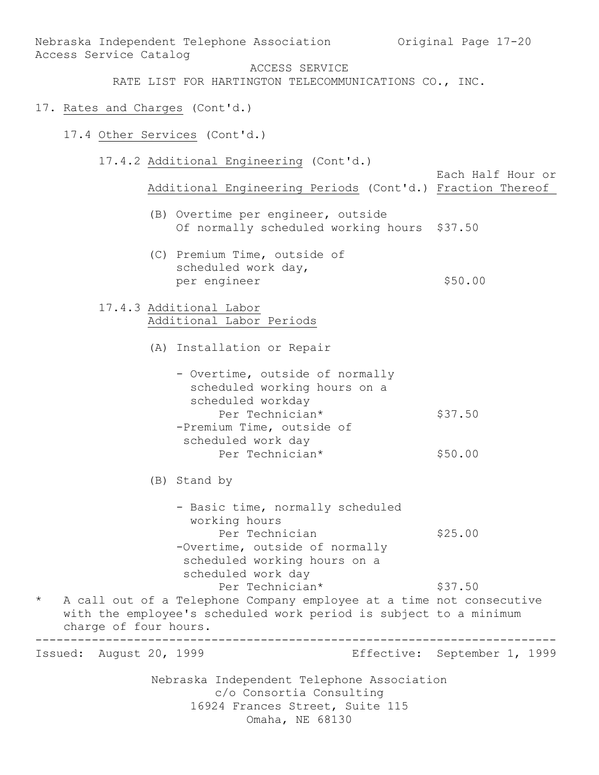Nebraska Independent Telephone Association c/o Consortia Consulting 16924 Frances Street, Suite 115 Omaha, NE 68130 Nebraska Independent Telephone Association Original Page 17-20 Access Service Catalog ACCESS SERVICE RATE LIST FOR HARTINGTON TELECOMMUNICATIONS CO., INC. 17. Rates and Charges (Cont'd.) 17.4 Other Services (Cont'd.) 17.4.2 Additional Engineering (Cont'd.) Each Half Hour or Additional Engineering Periods (Cont'd.) Fraction Thereof (B) Overtime per engineer, outside Of normally scheduled working hours \$37.50 (C) Premium Time, outside of scheduled work day, per engineer  $$50.00$ 17.4.3 Additional Labor Additional Labor Periods (A) Installation or Repair - Overtime, outside of normally scheduled working hours on a scheduled workday Per Technician\* \$37.50 -Premium Time, outside of scheduled work day Per Technician\* \$50.00 (B) Stand by - Basic time, normally scheduled working hours Per Technician  $$25.00$ -Overtime, outside of normally scheduled working hours on a scheduled work day Per Technician\* \$37.50 \* A call out of a Telephone Company employee at a time not consecutive with the employee's scheduled work period is subject to a minimum charge of four hours. -------------------------------------------------------------------------- Issued: August 20, 1999 Effective: September 1, 1999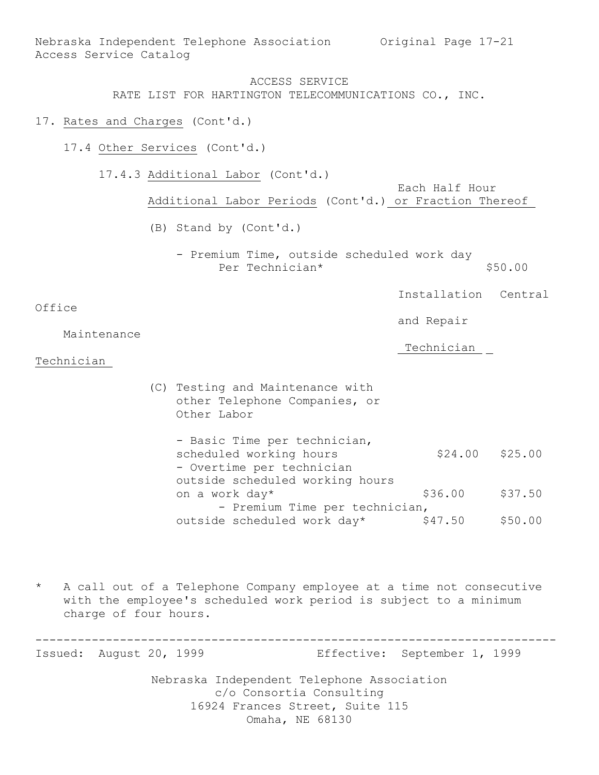Nebraska Independent Telephone Association Original Page 17-21 Access Service Catalog

#### ACCESS SERVICE RATE LIST FOR HARTINGTON TELECOMMUNICATIONS CO., INC.

- 17. Rates and Charges (Cont'd.)
	- 17.4 Other Services (Cont'd.)

17.4.3 Additional Labor (Cont'd.) Each Half Hour Additional Labor Periods (Cont'd.) or Fraction Thereof (B) Stand by (Cont'd.) - Premium Time, outside scheduled work day Per Technician\* \$50.00 Installation Central Office and Repair Maintenance Technician Technician (C) Testing and Maintenance with other Telephone Companies, or Other Labor - Basic Time per technician, scheduled working hours \$24.00 \$25.00 - Overtime per technician outside scheduled working hours on a work day\* \$36.00 \$37.50

- Premium Time per technician,

outside scheduled work day\* \$47.50 \$50.00

A call out of a Telephone Company employee at a time not consecutive with the employee's scheduled work period is subject to a minimum charge of four hours.

-------------------------------------------------------------------------- Issued: August 20, 1999 Effective: September 1, 1999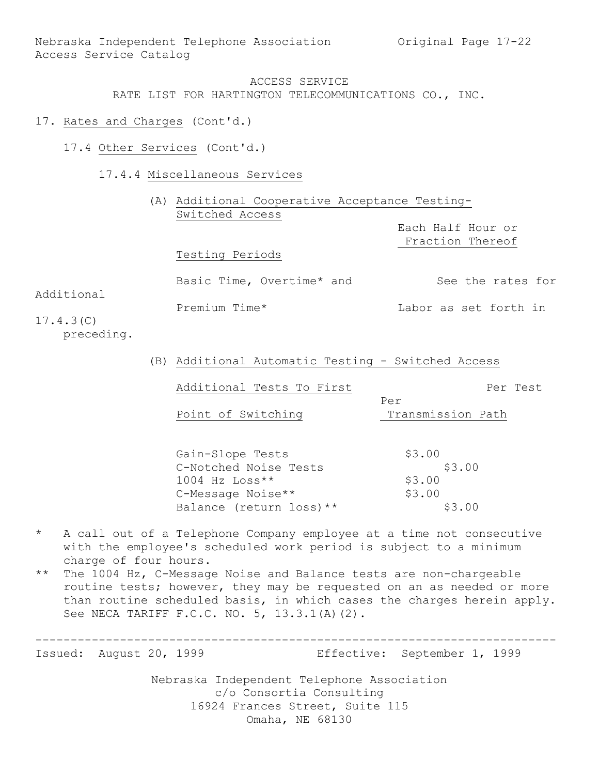- 17. Rates and Charges (Cont'd.)
	- 17.4 Other Services (Cont'd.)
		- 17.4.4 Miscellaneous Services

|            |                           | (A) Additional Cooperative Acceptance Testing- |  |  |  |
|------------|---------------------------|------------------------------------------------|--|--|--|
|            | Switched Access           |                                                |  |  |  |
|            |                           | Each Half Hour or                              |  |  |  |
|            |                           | Fraction Thereof                               |  |  |  |
|            | Testing Periods           |                                                |  |  |  |
|            | Basic Time, Overtime* and | See the rates for                              |  |  |  |
| Additional | Premium Time*             | Labor as set forth in                          |  |  |  |
| 17.4.3(C)  |                           |                                                |  |  |  |

- preceding.
- (B) Additional Automatic Testing Switched Access

Additional Tests To First Per Test

Per Point of Switching Transmission Path

| Gain-Slope Tests         | \$3.00 |
|--------------------------|--------|
| C-Notched Noise Tests    | \$3.00 |
| $1004$ Hz Loss**         | \$3.00 |
| C-Message Noise**        | \$3.00 |
| Balance (return loss) ** | \$3.00 |

- \* A call out of a Telephone Company employee at a time not consecutive with the employee's scheduled work period is subject to a minimum charge of four hours.
- \*\* The 1004 Hz, C-Message Noise and Balance tests are non-chargeable routine tests; however, they may be requested on an as needed or more than routine scheduled basis, in which cases the charges herein apply. See NECA TARIFF F.C.C. NO. 5, 13.3.1(A)(2).

-------------------------------------------------------------------------- Issued: August 20, 1999 Effective: September 1, 1999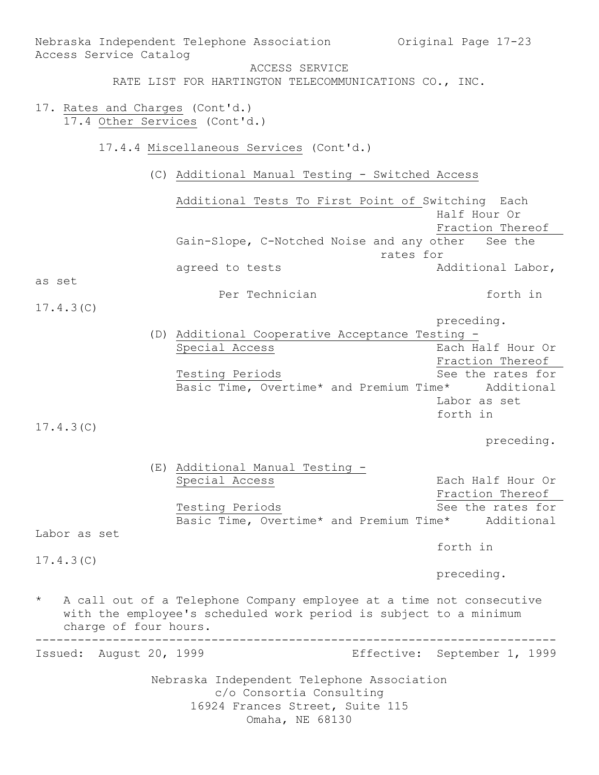Nebraska Independent Telephone Association c/o Consortia Consulting 16924 Frances Street, Suite 115 Omaha, NE 68130 Nebraska Independent Telephone Association Original Page 17-23 Access Service Catalog ACCESS SERVICE RATE LIST FOR HARTINGTON TELECOMMUNICATIONS CO., INC. 17. Rates and Charges (Cont'd.) 17.4 Other Services (Cont'd.) 17.4.4 Miscellaneous Services (Cont'd.) (C) Additional Manual Testing - Switched Access Additional Tests To First Point of Switching Each Half Hour Or Fraction Thereof Gain-Slope, C-Notched Noise and any other See the rates for agreed to tests and a and additional Labor, as set Per Technician and the forth in 17.4.3(C) preceding. (D) Additional Cooperative Acceptance Testing - Special Access **Each Half Hour Or** Fraction Thereof Testing Periods See the rates for Basic Time, Overtime\* and Premium Time\* Additional Labor as set forth in 17.4.3(C) preceding. (E) Additional Manual Testing - Special Access **Each Half Hour Or** Fraction Thereof Testing Periods See the rates for Basic Time, Overtime\* and Premium Time\* Additional Labor as set forth in 17.4.3(C) preceding. A call out of a Telephone Company employee at a time not consecutive with the employee's scheduled work period is subject to a minimum charge of four hours. -------------------------------------------------------------------------- Issued: August 20, 1999 Effective: September 1, 1999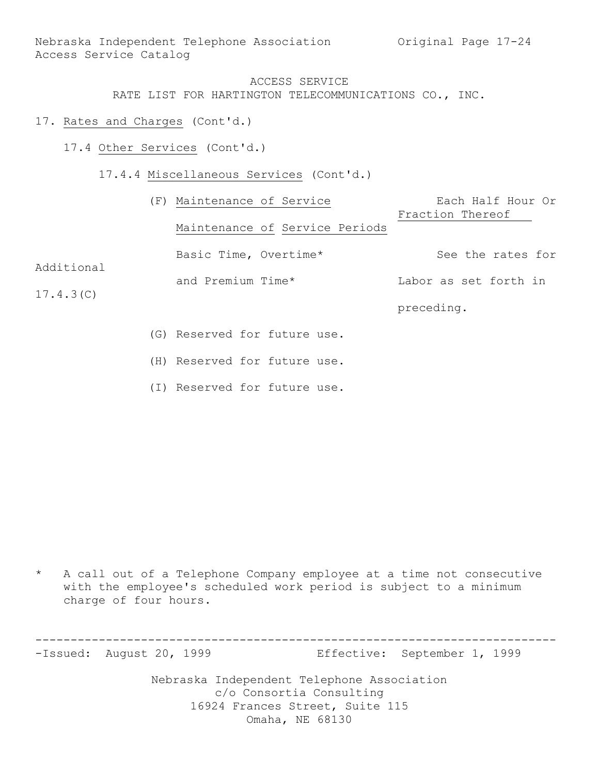Nebraska Independent Telephone Association Original Page 17-24 Access Service Catalog

### ACCESS SERVICE RATE LIST FOR HARTINGTON TELECOMMUNICATIONS CO., INC.

- 17. Rates and Charges (Cont'd.)
	- 17.4 Other Services (Cont'd.)
		- 17.4.4 Miscellaneous Services (Cont'd.)

|            |  | (F) Maintenance of Service     | Each Half Hour Or     |
|------------|--|--------------------------------|-----------------------|
|            |  |                                | Fraction Thereof      |
| Additional |  | Maintenance of Service Periods |                       |
|            |  | Basic Time, Overtime*          | See the rates for     |
|            |  | and Premium Time*              | Labor as set forth in |
| 17.4.3(C)  |  |                                |                       |
|            |  |                                | preceding.            |
|            |  | (G) Reserved for future use.   |                       |

- (H) Reserved for future use.
- (I) Reserved for future use.

\* A call out of a Telephone Company employee at a time not consecutive with the employee's scheduled work period is subject to a minimum charge of four hours.

-------------------------------------------------------------------------- -Issued: August 20, 1999 Effective: September 1, 1999